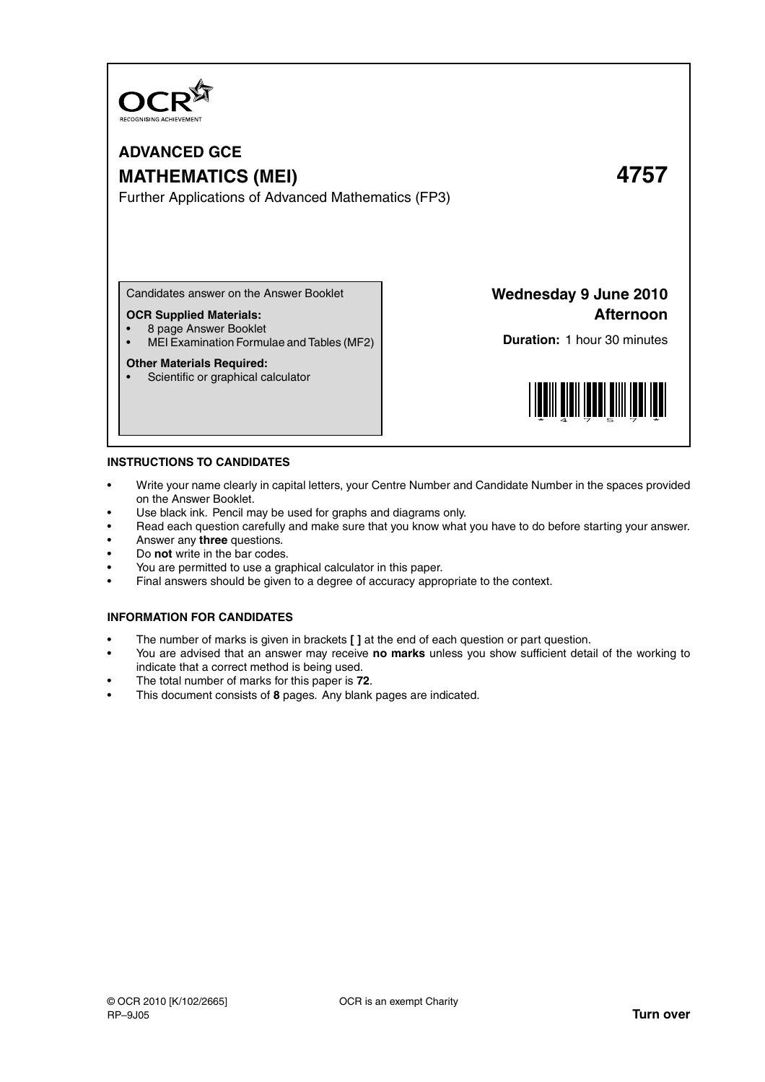

# **ADVANCED GCE MATHEMATICS (MEI) 4757**

Further Applications of Advanced Mathematics (FP3)

Candidates answer on the Answer Booklet

## **OCR Supplied Materials:**

- 8 page Answer Booklet
- MEI Examination Formulae and Tables (MF2)

## **Other Materials Required:**

• Scientific or graphical calculator

**Wednesday 9 June 2010 Afternoon**

**Duration:** 1 hour 30 minutes



## **INSTRUCTIONS TO CANDIDATES**

- Write your name clearly in capital letters, your Centre Number and Candidate Number in the spaces provided on the Answer Booklet.
- Use black ink. Pencil may be used for graphs and diagrams only.
- Read each question carefully and make sure that you know what you have to do before starting your answer.
- Answer any **three** questions.
- Do **not** write in the bar codes.
- You are permitted to use a graphical calculator in this paper.
- Final answers should be given to a degree of accuracy appropriate to the context.

## **INFORMATION FOR CANDIDATES**

- The number of marks is given in brackets **[ ]** at the end of each question or part question.
- You are advised that an answer may receive **no marks** unless you show sufficient detail of the working to indicate that a correct method is being used.
- The total number of marks for this paper is **72**.
- This document consists of **8** pages. Any blank pages are indicated.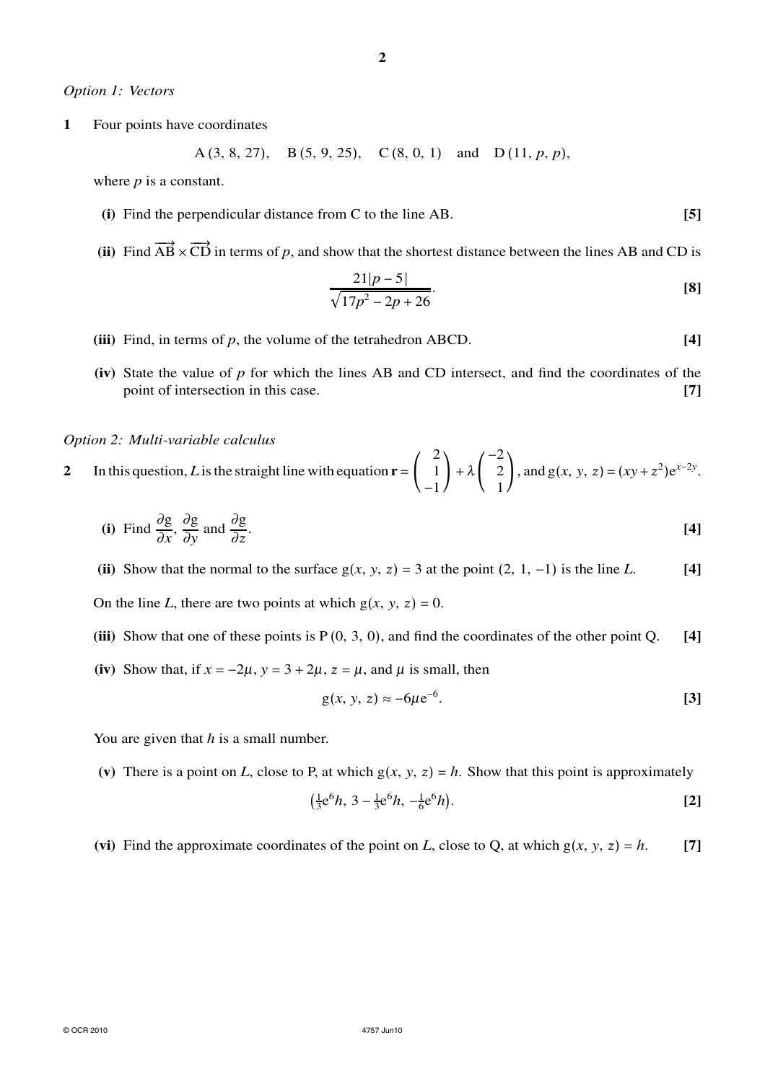## *Option 1: Vectors*

**1** Four points have coordinates

A (3, 8, 27), B (5, 9, 25), C (8, 0, 1) and D (11, p, p),

where *p* is a constant.

- **(i)** Find the perpendicular distance from C to the line AB. **[5]**
- (ii) Find  $\overrightarrow{AB} \times \overrightarrow{CD}$  in terms of *p*, and show that the shortest distance between the lines AB and CD is

$$
\frac{21|p-5|}{\sqrt{17p^2 - 2p + 26}}.\t\t[8]
$$

- **(iii)** Find, in terms of *p*, the volume of the tetrahedron ABCD. **[4]**
- **(iv)** State the value of *p* for which the lines AB and CD intersect, and find the coordinates of the point of intersection in this case. **[7]**

#### *Option 2: Multi-variable calculus*

**2** In this question, *L* is the straight line with equation  $\mathbf{r} = \begin{bmatrix} 1 & 0 \\ 0 & 1 \end{bmatrix}$ 2 1 −1  $+ \lambda$  $-2$ 2 1  $\int$ , and  $g(x, y, z) = (xy + z^2)e^{x-2y}$ .

(i) Find 
$$
\frac{\partial g}{\partial x}
$$
,  $\frac{\partial g}{\partial y}$  and  $\frac{\partial g}{\partial z}$ . [4]

(ii) Show that the normal to the surface  $g(x, y, z) = 3$  at the point  $(2, 1, -1)$  is the line *L*. [4]

On the line *L*, there are two points at which  $g(x, y, z) = 0$ .

- **(iii)** Show that one of these points is P (0, 3, 0), and find the coordinates of the other point Q. **[4]**
- (iv) Show that, if  $x = -2\mu$ ,  $y = 3 + 2\mu$ ,  $z = \mu$ , and  $\mu$  is small, then

$$
g(x, y, z) \approx -6\mu e^{-6}.\tag{3}
$$

You are given that *h* is a small number.

(v) There is a point on *L*, close to P, at which  $g(x, y, z) = h$ . Show that this point is approximately

$$
\left(\frac{1}{3}e^{6}h, 3-\frac{1}{3}e^{6}h, -\frac{1}{6}e^{6}h\right).
$$
 [2]

(vi) Find the approximate coordinates of the point on *L*, close to Q, at which  $g(x, y, z) = h$ . [7]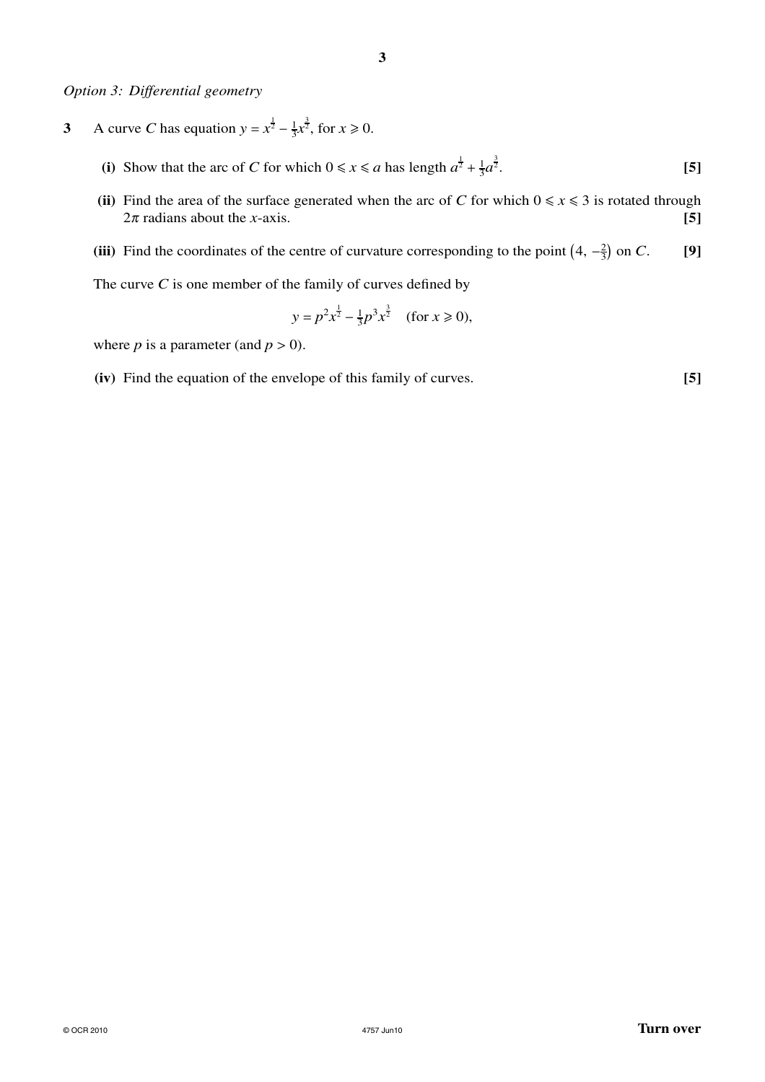**3**

## *Option 3: Differential geometry*

- 3 A curve *C* has equation  $y = x^{\frac{1}{2}} \frac{1}{3}x^{\frac{3}{2}}$ , for  $x \ge 0$ .
	- (i) Show that the arc of *C* for which  $0 \le x \le a$  has length  $a^{\frac{1}{2}} + \frac{1}{3}a^{\frac{3}{2}}$ . **[5]**
	- (ii) Find the area of the surface generated when the arc of *C* for which  $0 \le x \le 3$  is rotated through  $2\pi$  radians about the *x*-axis. **[5]**
	- (iii) Find the coordinates of the centre of curvature corresponding to the point  $\left(4, -\frac{2}{3}\right)$  on *C*. **[9]**

The curve *C* is one member of the family of curves defined by

$$
y = p^2 x^{\frac{1}{2}} - \frac{1}{3} p^3 x^{\frac{3}{2}}
$$
 (for  $x \ge 0$ ),

where *p* is a parameter (and  $p > 0$ ).

**(iv)** Find the equation of the envelope of this family of curves. **[5]**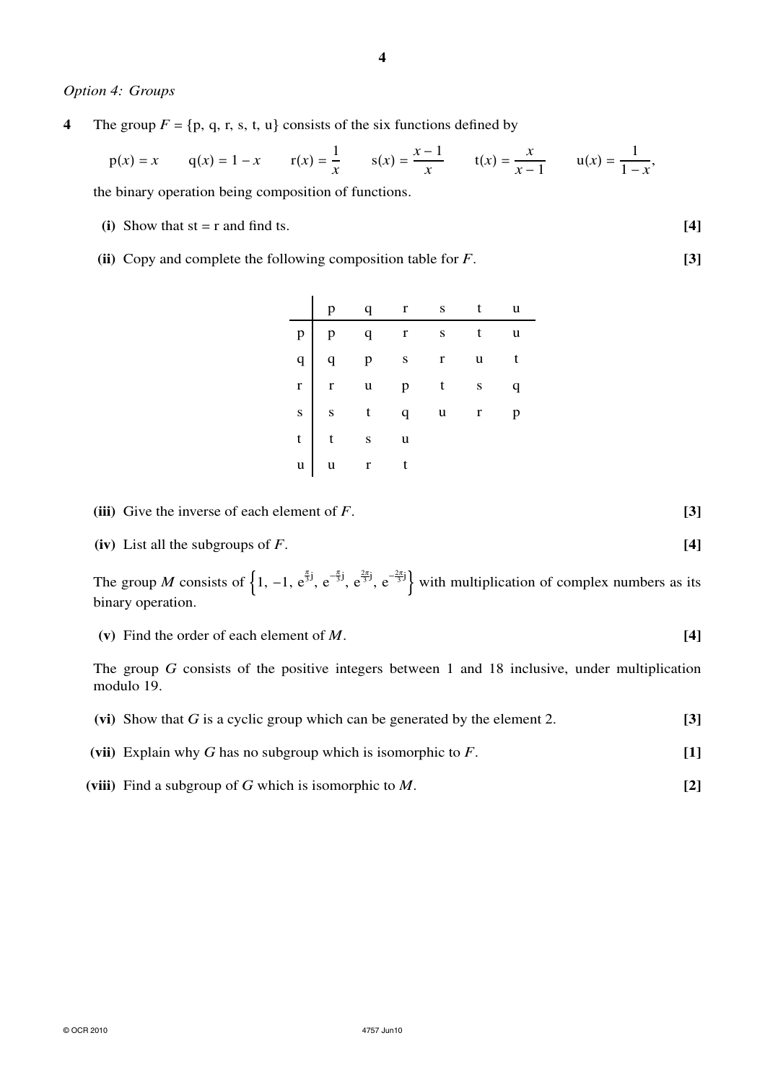## *Option 4: Groups*

**4** The group  $F = \{p, q, r, s, t, u\}$  consists of the six functions defined by

$$
p(x) = x \qquad q(x) = 1 - x \qquad r(x) = \frac{1}{x} \qquad s(x) = \frac{x - 1}{x} \qquad t(x) = \frac{x}{x - 1} \qquad u(x) = \frac{1}{1 - x},
$$

the binary operation being composition of functions.

- (i) Show that  $st = r$  and find ts.  $[4]$
- **(ii)** Copy and complete the following composition table for *F*. **[3]**

|  |  | $\begin{tabular}{ c ccccccccccccccc } \hline p & q & r & s & t & u \\ \hline p & p & q & r & s & t & u \\ q & q & p & s & r & u & t \\ r & r & u & p & t & s & q \\ s & s & t & q & u & r & p \\ t & t & s & u & & & & \\ u & r & t & & & & & \end{tabular}$ |  |
|--|--|--------------------------------------------------------------------------------------------------------------------------------------------------------------------------------------------------------------------------------------------------------------|--|
|  |  |                                                                                                                                                                                                                                                              |  |
|  |  |                                                                                                                                                                                                                                                              |  |
|  |  |                                                                                                                                                                                                                                                              |  |
|  |  |                                                                                                                                                                                                                                                              |  |
|  |  |                                                                                                                                                                                                                                                              |  |

**(iii)** Give the inverse of each element of *F*. **[3]**

**(iv)** List all the subgroups of *F*. **[4]**

The group *M* consists of  $\left\{1, -1, e^{\frac{\pi}{3}j}, e^{-\frac{2\pi}{3}j}, e^{-\frac{2\pi}{3}j}\right\}$  with multiplication of complex numbers as its binary operation.

**(v)** Find the order of each element of *M*. **[4]**

The group *G* consists of the positive integers between 1 and 18 inclusive, under multiplication modulo 19.

| (vi) Show that $G$ is a cyclic group which can be generated by the element 2. | $\lceil 3 \rceil$ |
|-------------------------------------------------------------------------------|-------------------|
| (vii) Explain why G has no subgroup which is isomorphic to $F$ .              | [1]               |
| (viii) Find a subgroup of $G$ which is isomorphic to $M$ .                    | [2]               |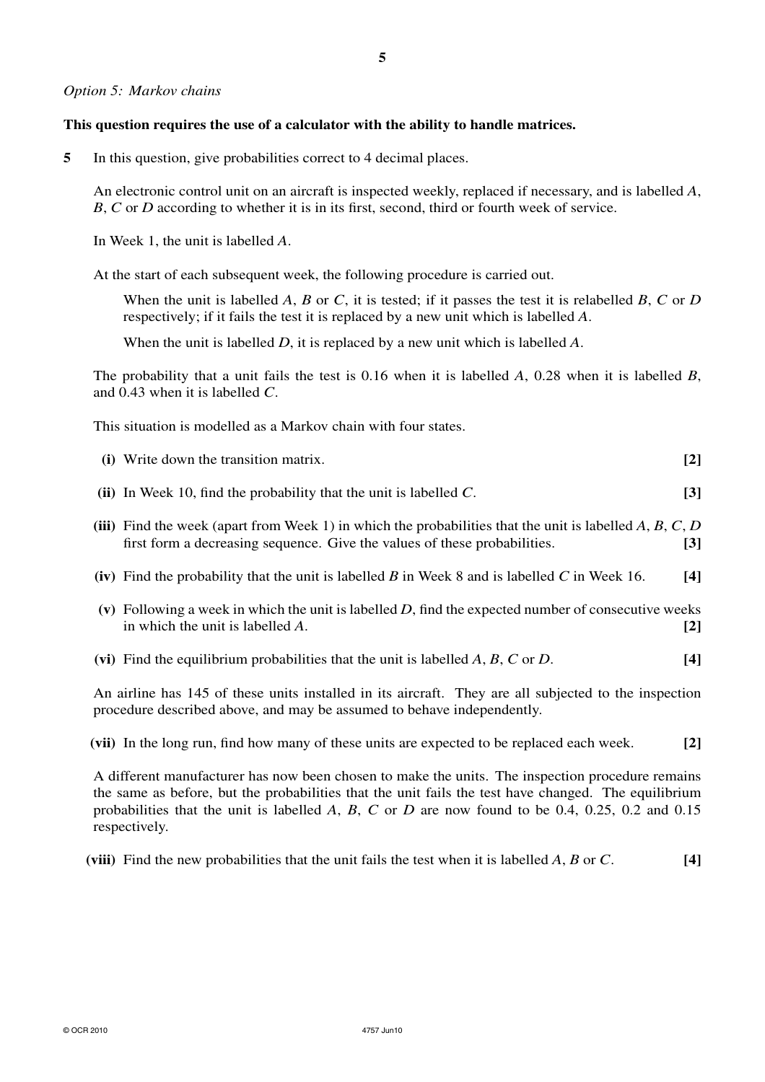## *Option 5: Markov chains*

## **This question requires the use of a calculator with the ability to handle matrices.**

**5** In this question, give probabilities correct to 4 decimal places.

An electronic control unit on an aircraft is inspected weekly, replaced if necessary, and is labelled *A*, *B*, *C* or *D* according to whether it is in its first, second, third or fourth week of service.

In Week 1, the unit is labelled *A*.

At the start of each subsequent week, the following procedure is carried out.

When the unit is labelled *A*, *B* or *C*, it is tested; if it passes the test it is relabelled *B*, *C* or *D* respectively; if it fails the test it is replaced by a new unit which is labelled *A*.

When the unit is labelled *D*, it is replaced by a new unit which is labelled *A*.

The probability that a unit fails the test is 0.16 when it is labelled *A*, 0.28 when it is labelled *B*, and 0.43 when it is labelled *C*.

This situation is modelled as a Markov chain with four states.

| (i) Write down the transition matrix.                                 |  |
|-----------------------------------------------------------------------|--|
| (ii) In Week 10, find the probability that the unit is labelled $C$ . |  |
|                                                                       |  |

- **(iii)** Find the week (apart from Week 1) in which the probabilities that the unit is labelled *A*, *B*, *C*, *D* first form a decreasing sequence. Give the values of these probabilities. **[3]**
- **(iv)** Find the probability that the unit is labelled *B* in Week 8 and is labelled *C* in Week 16. **[4]**
- **(v)** Following a week in which the unit is labelled *D*, find the expected number of consecutive weeks in which the unit is labelled *A*. **[2]**
- **(vi)** Find the equilibrium probabilities that the unit is labelled *A*, *B*, *C* or *D*. **[4]**

An airline has 145 of these units installed in its aircraft. They are all subjected to the inspection procedure described above, and may be assumed to behave independently.

**(vii)** In the long run, find how many of these units are expected to be replaced each week. **[2]**

A different manufacturer has now been chosen to make the units. The inspection procedure remains the same as before, but the probabilities that the unit fails the test have changed. The equilibrium probabilities that the unit is labelled  $A$ ,  $B$ ,  $C$  or  $D$  are now found to be 0.4, 0.25, 0.2 and 0.15 respectively.

**(viii)** Find the new probabilities that the unit fails the test when it is labelled *A*, *B* or *C*. **[4]**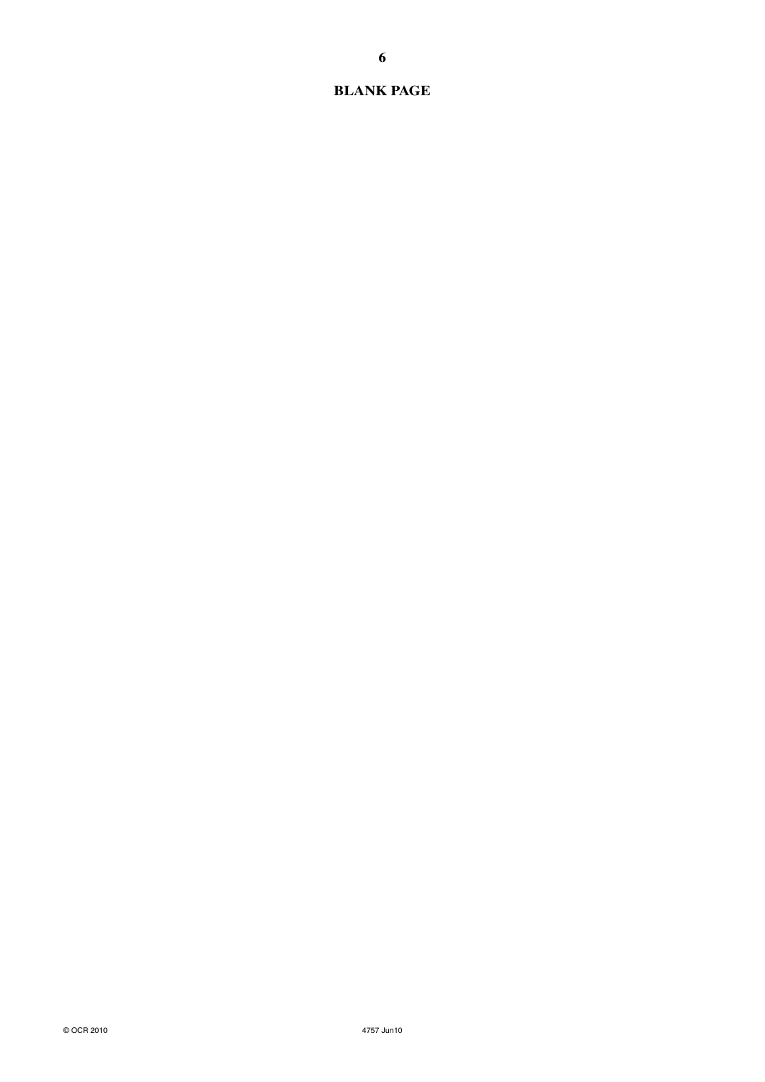## **BLANK PAGE**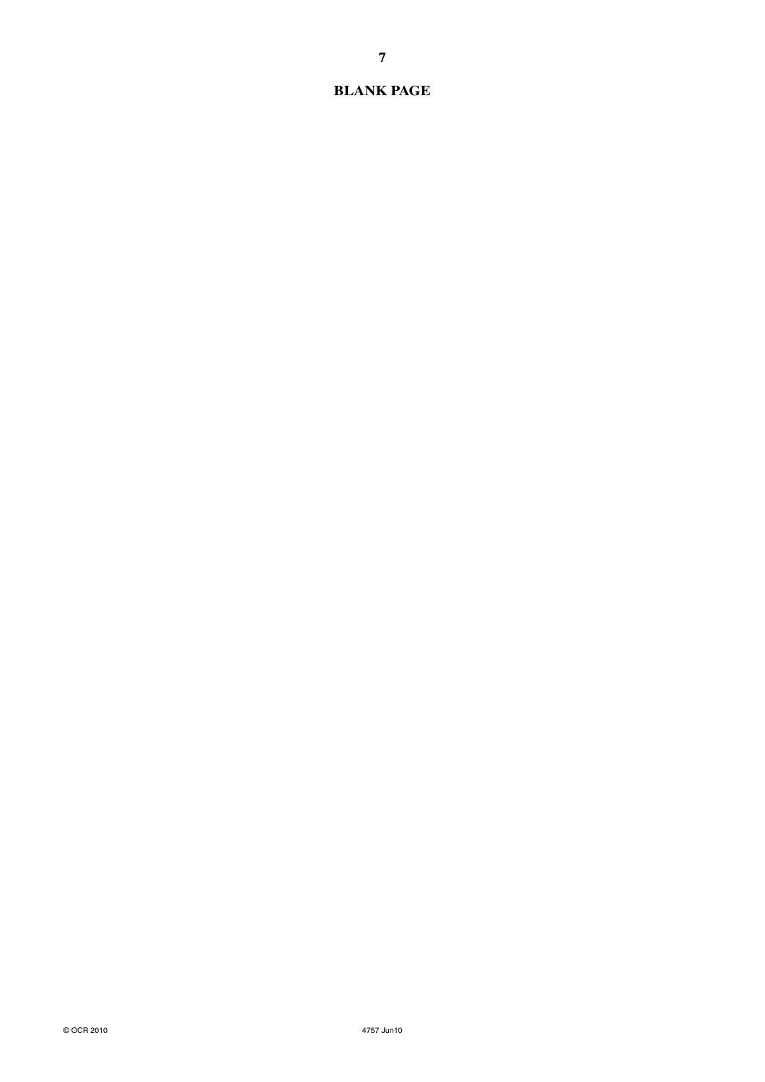## **BLANK PAGE**